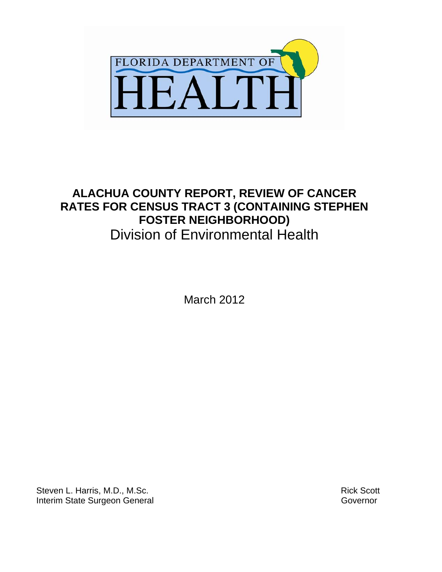

# **ALACHUA COUNTY REPORT, REVIEW OF CANCER RATES FOR CENSUS TRACT 3 (CONTAINING STEPHEN FOSTER NEIGHBORHOOD)**  Division of Environmental Health

March 2012

Steven L. Harris, M.D., M.Sc. Interim State Surgeon General

 Rick Scott Governor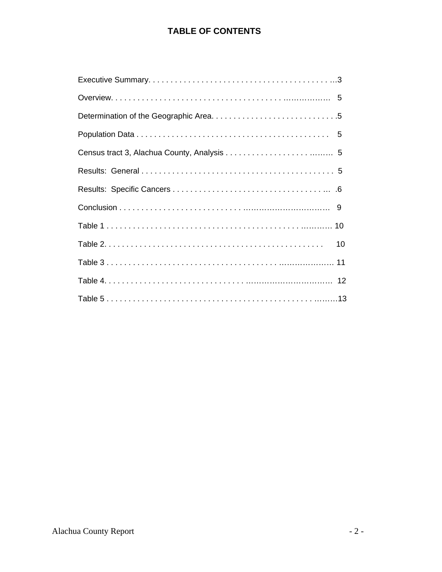# **TABLE OF CONTENTS**

| 10 |
|----|
|    |
|    |
|    |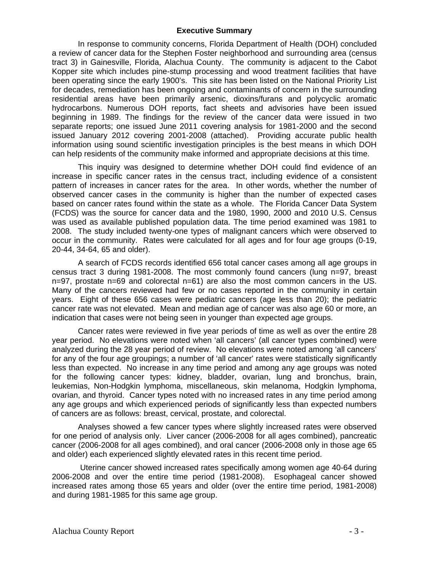#### **Executive Summary**

 In response to community concerns, Florida Department of Health (DOH) concluded a review of cancer data for the Stephen Foster neighborhood and surrounding area (census tract 3) in Gainesville, Florida, Alachua County. The community is adjacent to the Cabot Kopper site which includes pine-stump processing and wood treatment facilities that have been operating since the early 1900's. This site has been listed on the National Priority List for decades, remediation has been ongoing and contaminants of concern in the surrounding residential areas have been primarily arsenic, dioxins/furans and polycyclic aromatic hydrocarbons. Numerous DOH reports, fact sheets and advisories have been issued beginning in 1989. The findings for the review of the cancer data were issued in two separate reports; one issued June 2011 covering analysis for 1981-2000 and the second issued January 2012 covering 2001-2008 (attached). Providing accurate public health information using sound scientific investigation principles is the best means in which DOH can help residents of the community make informed and appropriate decisions at this time.

 This inquiry was designed to determine whether DOH could find evidence of an increase in specific cancer rates in the census tract, including evidence of a consistent pattern of increases in cancer rates for the area. In other words, whether the number of observed cancer cases in the community is higher than the number of expected cases based on cancer rates found within the state as a whole. The Florida Cancer Data System (FCDS) was the source for cancer data and the 1980, 1990, 2000 and 2010 U.S. Census was used as available published population data. The time period examined was 1981 to 2008. The study included twenty-one types of malignant cancers which were observed to occur in the community. Rates were calculated for all ages and for four age groups (0-19, 20-44, 34-64, 65 and older).

 A search of FCDS records identified 656 total cancer cases among all age groups in census tract 3 during 1981-2008. The most commonly found cancers (lung n=97, breast n=97, prostate n=69 and colorectal n=61) are also the most common cancers in the US. Many of the cancers reviewed had few or no cases reported in the community in certain years. Eight of these 656 cases were pediatric cancers (age less than 20); the pediatric cancer rate was not elevated. Mean and median age of cancer was also age 60 or more, an indication that cases were not being seen in younger than expected age groups.

 Cancer rates were reviewed in five year periods of time as well as over the entire 28 year period. No elevations were noted when 'all cancers' (all cancer types combined) were analyzed during the 28 year period of review. No elevations were noted among 'all cancers' for any of the four age groupings; a number of 'all cancer' rates were statistically significantly less than expected. No increase in any time period and among any age groups was noted for the following cancer types: kidney, bladder, ovarian, lung and bronchus, brain, leukemias, Non-Hodgkin lymphoma, miscellaneous, skin melanoma, Hodgkin lymphoma, ovarian, and thyroid. Cancer types noted with no increased rates in any time period among any age groups and which experienced periods of significantly less than expected numbers of cancers are as follows: breast, cervical, prostate, and colorectal.

 Analyses showed a few cancer types where slightly increased rates were observed for one period of analysis only. Liver cancer (2006-2008 for all ages combined), pancreatic cancer (2006-2008 for all ages combined), and oral cancer (2006-2008 only in those age 65 and older) each experienced slightly elevated rates in this recent time period.

 Uterine cancer showed increased rates specifically among women age 40-64 during 2006-2008 and over the entire time period (1981-2008). Esophageal cancer showed increased rates among those 65 years and older (over the entire time period, 1981-2008) and during 1981-1985 for this same age group.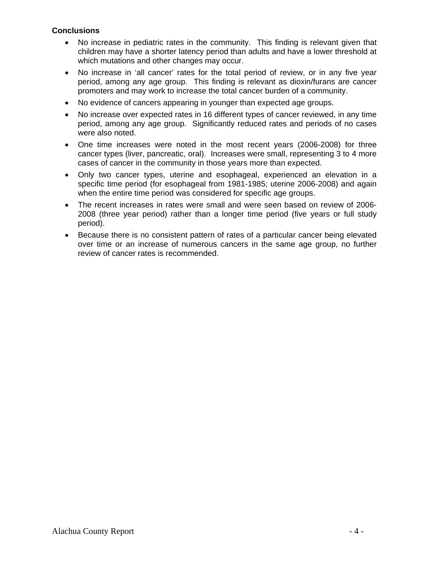#### **Conclusions**

- No increase in pediatric rates in the community. This finding is relevant given that children may have a shorter latency period than adults and have a lower threshold at which mutations and other changes may occur.
- No increase in 'all cancer' rates for the total period of review, or in any five year period, among any age group. This finding is relevant as dioxin/furans are cancer promoters and may work to increase the total cancer burden of a community.
- No evidence of cancers appearing in younger than expected age groups.
- No increase over expected rates in 16 different types of cancer reviewed, in any time period, among any age group. Significantly reduced rates and periods of no cases were also noted.
- One time increases were noted in the most recent years (2006-2008) for three cancer types (liver, pancreatic, oral). Increases were small, representing 3 to 4 more cases of cancer in the community in those years more than expected.
- Only two cancer types, uterine and esophageal, experienced an elevation in a specific time period (for esophageal from 1981-1985; uterine 2006-2008) and again when the entire time period was considered for specific age groups.
- The recent increases in rates were small and were seen based on review of 2006- 2008 (three year period) rather than a longer time period (five years or full study period).
- Because there is no consistent pattern of rates of a particular cancer being elevated over time or an increase of numerous cancers in the same age group, no further review of cancer rates is recommended.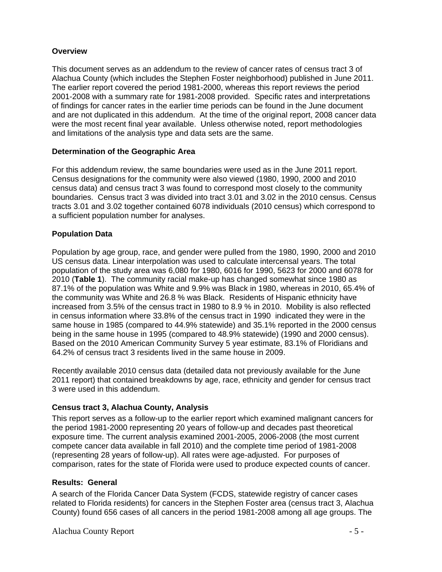#### **Overview**

This document serves as an addendum to the review of cancer rates of census tract 3 of Alachua County (which includes the Stephen Foster neighborhood) published in June 2011. The earlier report covered the period 1981-2000, whereas this report reviews the period 2001-2008 with a summary rate for 1981-2008 provided. Specific rates and interpretations of findings for cancer rates in the earlier time periods can be found in the June document and are not duplicated in this addendum. At the time of the original report, 2008 cancer data were the most recent final year available. Unless otherwise noted, report methodologies and limitations of the analysis type and data sets are the same.

## **Determination of the Geographic Area**

For this addendum review, the same boundaries were used as in the June 2011 report. Census designations for the community were also viewed (1980, 1990, 2000 and 2010 census data) and census tract 3 was found to correspond most closely to the community boundaries. Census tract 3 was divided into tract 3.01 and 3.02 in the 2010 census. Census tracts 3.01 and 3.02 together contained 6078 individuals (2010 census) which correspond to a sufficient population number for analyses.

## **Population Data**

Population by age group, race, and gender were pulled from the 1980, 1990, 2000 and 2010 US census data. Linear interpolation was used to calculate intercensal years. The total population of the study area was 6,080 for 1980, 6016 for 1990, 5623 for 2000 and 6078 for 2010 (**Table 1**). The community racial make-up has changed somewhat since 1980 as 87.1% of the population was White and 9.9% was Black in 1980, whereas in 2010, 65.4% of the community was White and 26.8 % was Black. Residents of Hispanic ethnicity have increased from 3.5% of the census tract in 1980 to 8.9 % in 2010. Mobility is also reflected in census information where 33.8% of the census tract in 1990 indicated they were in the same house in 1985 (compared to 44.9% statewide) and 35.1% reported in the 2000 census being in the same house in 1995 (compared to 48.9% statewide) (1990 and 2000 census). Based on the 2010 American Community Survey 5 year estimate, 83.1% of Floridians and 64.2% of census tract 3 residents lived in the same house in 2009.

Recently available 2010 census data (detailed data not previously available for the June 2011 report) that contained breakdowns by age, race, ethnicity and gender for census tract 3 were used in this addendum.

#### **Census tract 3, Alachua County, Analysis**

This report serves as a follow-up to the earlier report which examined malignant cancers for the period 1981-2000 representing 20 years of follow-up and decades past theoretical exposure time. The current analysis examined 2001-2005, 2006-2008 (the most current compete cancer data available in fall 2010) and the complete time period of 1981-2008 (representing 28 years of follow-up). All rates were age-adjusted. For purposes of comparison, rates for the state of Florida were used to produce expected counts of cancer.

#### **Results: General**

A search of the Florida Cancer Data System (FCDS, statewide registry of cancer cases related to Florida residents) for cancers in the Stephen Foster area (census tract 3, Alachua County) found 656 cases of all cancers in the period 1981-2008 among all age groups. The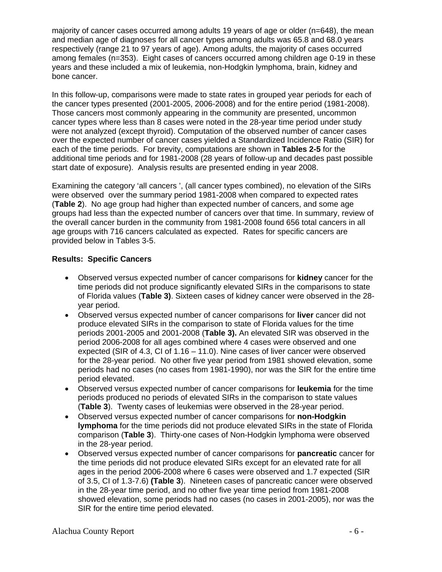majority of cancer cases occurred among adults 19 years of age or older (n=648), the mean and median age of diagnoses for all cancer types among adults was 65.8 and 68.0 years respectively (range 21 to 97 years of age). Among adults, the majority of cases occurred among females (n=353). Eight cases of cancers occurred among children age 0-19 in these years and these included a mix of leukemia, non-Hodgkin lymphoma, brain, kidney and bone cancer.

In this follow-up, comparisons were made to state rates in grouped year periods for each of the cancer types presented (2001-2005, 2006-2008) and for the entire period (1981-2008). Those cancers most commonly appearing in the community are presented, uncommon cancer types where less than 8 cases were noted in the 28-year time period under study were not analyzed (except thyroid). Computation of the observed number of cancer cases over the expected number of cancer cases yielded a Standardized Incidence Ratio (SIR) for each of the time periods. For brevity, computations are shown in **Tables 2-5** for the additional time periods and for 1981-2008 (28 years of follow-up and decades past possible start date of exposure). Analysis results are presented ending in year 2008.

Examining the category 'all cancers ', (all cancer types combined), no elevation of the SIRs were observed over the summary period 1981-2008 when compared to expected rates (**Table 2**). No age group had higher than expected number of cancers, and some age groups had less than the expected number of cancers over that time. In summary, review of the overall cancer burden in the community from 1981-2008 found 656 total cancers in all age groups with 716 cancers calculated as expected. Rates for specific cancers are provided below in Tables 3-5.

## **Results: Specific Cancers**

- Observed versus expected number of cancer comparisons for **kidney** cancer for the time periods did not produce significantly elevated SIRs in the comparisons to state of Florida values (**Table 3)**. Sixteen cases of kidney cancer were observed in the 28 year period.
- Observed versus expected number of cancer comparisons for **liver** cancer did not produce elevated SIRs in the comparison to state of Florida values for the time periods 2001-2005 and 2001-2008 (**Table 3).** An elevated SIR was observed in the period 2006-2008 for all ages combined where 4 cases were observed and one expected (SIR of 4.3, CI of 1.16 – 11.0). Nine cases of liver cancer were observed for the 28-year period. No other five year period from 1981 showed elevation, some periods had no cases (no cases from 1981-1990), nor was the SIR for the entire time period elevated.
- Observed versus expected number of cancer comparisons for **leukemia** for the time periods produced no periods of elevated SIRs in the comparison to state values (**Table 3**). Twenty cases of leukemias were observed in the 28-year period.
- Observed versus expected number of cancer comparisons for **non-Hodgkin lymphoma** for the time periods did not produce elevated SIRs in the state of Florida comparison (**Table 3**). Thirty-one cases of Non-Hodgkin lymphoma were observed in the 28-year period.
- Observed versus expected number of cancer comparisons for **pancreatic** cancer for the time periods did not produce elevated SIRs except for an elevated rate for all ages in the period 2006-2008 where 6 cases were observed and 1.7 expected (SIR of 3.5, CI of 1.3-7.6) **(Table 3**). Nineteen cases of pancreatic cancer were observed in the 28-year time period, and no other five year time period from 1981-2008 showed elevation, some periods had no cases (no cases in 2001-2005), nor was the SIR for the entire time period elevated.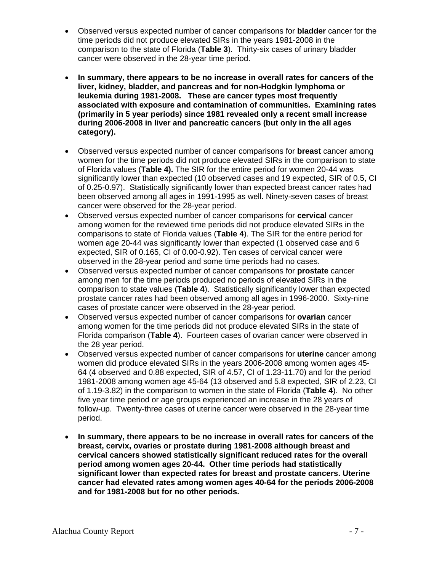- Observed versus expected number of cancer comparisons for **bladder** cancer for the time periods did not produce elevated SIRs in the years 1981-2008 in the comparison to the state of Florida (**Table 3**). Thirty-six cases of urinary bladder cancer were observed in the 28-year time period.
- **In summary, there appears to be no increase in overall rates for cancers of the liver, kidney, bladder, and pancreas and for non-Hodgkin lymphoma or leukemia during 1981-2008. These are cancer types most frequently associated with exposure and contamination of communities. Examining rates (primarily in 5 year periods) since 1981 revealed only a recent small increase during 2006-2008 in liver and pancreatic cancers (but only in the all ages category).**
- Observed versus expected number of cancer comparisons for **breast** cancer among women for the time periods did not produce elevated SIRs in the comparison to state of Florida values (**Table 4).** The SIR for the entire period for women 20-44 was significantly lower than expected (10 observed cases and 19 expected, SIR of 0.5, CI of 0.25-0.97). Statistically significantly lower than expected breast cancer rates had been observed among all ages in 1991-1995 as well. Ninety-seven cases of breast cancer were observed for the 28-year period.
- Observed versus expected number of cancer comparisons for **cervical** cancer among women for the reviewed time periods did not produce elevated SIRs in the comparisons to state of Florida values (**Table 4**). The SIR for the entire period for women age 20-44 was significantly lower than expected (1 observed case and 6 expected, SIR of 0.165, CI of 0.00-0.92). Ten cases of cervical cancer were observed in the 28-year period and some time periods had no cases.
- Observed versus expected number of cancer comparisons for **prostate** cancer among men for the time periods produced no periods of elevated SIRs in the comparison to state values (**Table 4**). Statistically significantly lower than expected prostate cancer rates had been observed among all ages in 1996-2000. Sixty-nine cases of prostate cancer were observed in the 28-year period.
- Observed versus expected number of cancer comparisons for **ovarian** cancer among women for the time periods did not produce elevated SIRs in the state of Florida comparison (**Table 4**). Fourteen cases of ovarian cancer were observed in the 28 year period.
- Observed versus expected number of cancer comparisons for **uterine** cancer among women did produce elevated SIRs in the years 2006-2008 among women ages 45- 64 (4 observed and 0.88 expected, SIR of 4.57, CI of 1.23-11.70) and for the period 1981-2008 among women age 45-64 (13 observed and 5.8 expected, SIR of 2.23, CI of 1.19-3.82) in the comparison to women in the state of Florida (**Table 4**). No other five year time period or age groups experienced an increase in the 28 years of follow-up. Twenty-three cases of uterine cancer were observed in the 28-year time period.
- **In summary, there appears to be no increase in overall rates for cancers of the breast, cervix, ovaries or prostate during 1981-2008 although breast and cervical cancers showed statistically significant reduced rates for the overall period among women ages 20-44. Other time periods had statistically significant lower than expected rates for breast and prostate cancers. Uterine cancer had elevated rates among women ages 40-64 for the periods 2006-2008 and for 1981-2008 but for no other periods.**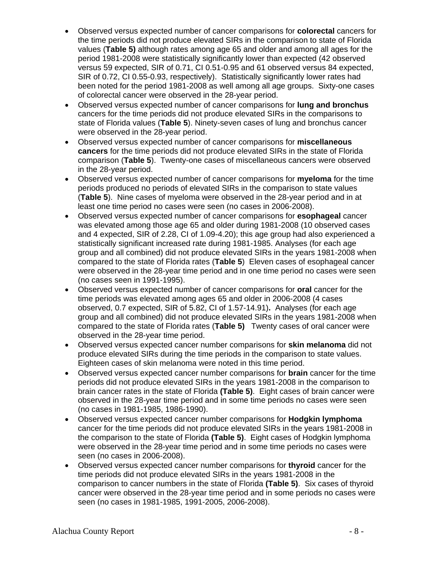- Observed versus expected number of cancer comparisons for **colorectal** cancers for the time periods did not produce elevated SIRs in the comparison to state of Florida values (**Table 5)** although rates among age 65 and older and among all ages for the period 1981-2008 were statistically significantly lower than expected (42 observed versus 59 expected, SIR of 0.71, CI 0.51-0.95 and 61 observed versus 84 expected, SIR of 0.72, CI 0.55-0.93, respectively). Statistically significantly lower rates had been noted for the period 1981-2008 as well among all age groups. Sixty-one cases of colorectal cancer were observed in the 28-year period.
- Observed versus expected number of cancer comparisons for **lung and bronchus** cancers for the time periods did not produce elevated SIRs in the comparisons to state of Florida values (**Table 5**). Ninety-seven cases of lung and bronchus cancer were observed in the 28-year period.
- Observed versus expected number of cancer comparisons for **miscellaneous cancers** for the time periods did not produce elevated SIRs in the state of Florida comparison (**Table 5**). Twenty-one cases of miscellaneous cancers were observed in the 28-year period.
- Observed versus expected number of cancer comparisons for **myeloma** for the time periods produced no periods of elevated SIRs in the comparison to state values (**Table 5**). Nine cases of myeloma were observed in the 28-year period and in at least one time period no cases were seen (no cases in 2006-2008).
- Observed versus expected number of cancer comparisons for **esophageal** cancer was elevated among those age 65 and older during 1981-2008 (10 observed cases and 4 expected, SIR of 2.28, CI of 1.09-4.20); this age group had also experienced a statistically significant increased rate during 1981-1985. Analyses (for each age group and all combined) did not produce elevated SIRs in the years 1981-2008 when compared to the state of Florida rates (**Table 5**) Eleven cases of esophageal cancer were observed in the 28-year time period and in one time period no cases were seen (no cases seen in 1991-1995).
- Observed versus expected number of cancer comparisons for **oral** cancer for the time periods was elevated among ages 65 and older in 2006-2008 (4 cases observed, 0.7 expected, SIR of 5.82, CI of 1.57-14.91)**.** Analyses (for each age group and all combined) did not produce elevated SIRs in the years 1981-2008 when compared to the state of Florida rates (**Table 5)** Twenty cases of oral cancer were observed in the 28-year time period.
- Observed versus expected cancer number comparisons for **skin melanoma** did not produce elevated SIRs during the time periods in the comparison to state values. Eighteen cases of skin melanoma were noted in this time period.
- Observed versus expected cancer number comparisons for **brain** cancer for the time periods did not produce elevated SIRs in the years 1981-2008 in the comparison to brain cancer rates in the state of Florida **(Table 5)**. Eight cases of brain cancer were observed in the 28-year time period and in some time periods no cases were seen (no cases in 1981-1985, 1986-1990).
- Observed versus expected cancer number comparisons for **Hodgkin lymphoma** cancer for the time periods did not produce elevated SIRs in the years 1981-2008 in the comparison to the state of Florida **(Table 5)**. Eight cases of Hodgkin lymphoma were observed in the 28-year time period and in some time periods no cases were seen (no cases in 2006-2008).
- Observed versus expected cancer number comparisons for **thyroid** cancer for the time periods did not produce elevated SIRs in the years 1981-2008 in the comparison to cancer numbers in the state of Florida **(Table 5)**. Six cases of thyroid cancer were observed in the 28-year time period and in some periods no cases were seen (no cases in 1981-1985, 1991-2005, 2006-2008).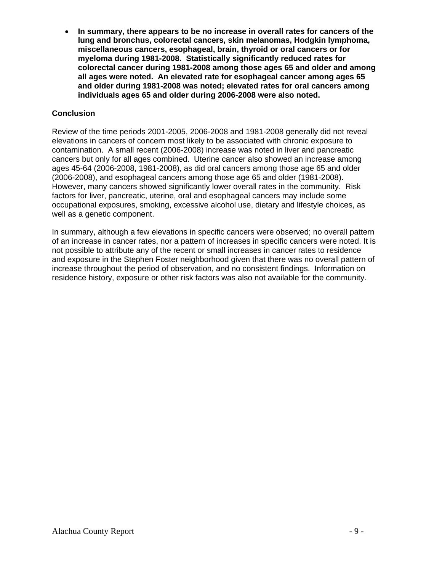**In summary, there appears to be no increase in overall rates for cancers of the lung and bronchus, colorectal cancers, skin melanomas, Hodgkin lymphoma, miscellaneous cancers, esophageal, brain, thyroid or oral cancers or for myeloma during 1981-2008. Statistically significantly reduced rates for colorectal cancer during 1981-2008 among those ages 65 and older and among all ages were noted. An elevated rate for esophageal cancer among ages 65 and older during 1981-2008 was noted; elevated rates for oral cancers among individuals ages 65 and older during 2006-2008 were also noted.** 

## **Conclusion**

Review of the time periods 2001-2005, 2006-2008 and 1981-2008 generally did not reveal elevations in cancers of concern most likely to be associated with chronic exposure to contamination. A small recent (2006-2008) increase was noted in liver and pancreatic cancers but only for all ages combined. Uterine cancer also showed an increase among ages 45-64 (2006-2008, 1981-2008), as did oral cancers among those age 65 and older (2006-2008), and esophageal cancers among those age 65 and older (1981-2008). However, many cancers showed significantly lower overall rates in the community. Risk factors for liver, pancreatic, uterine, oral and esophageal cancers may include some occupational exposures, smoking, excessive alcohol use, dietary and lifestyle choices, as well as a genetic component.

In summary, although a few elevations in specific cancers were observed; no overall pattern of an increase in cancer rates, nor a pattern of increases in specific cancers were noted. It is not possible to attribute any of the recent or small increases in cancer rates to residence and exposure in the Stephen Foster neighborhood given that there was no overall pattern of increase throughout the period of observation, and no consistent findings. Information on residence history, exposure or other risk factors was also not available for the community.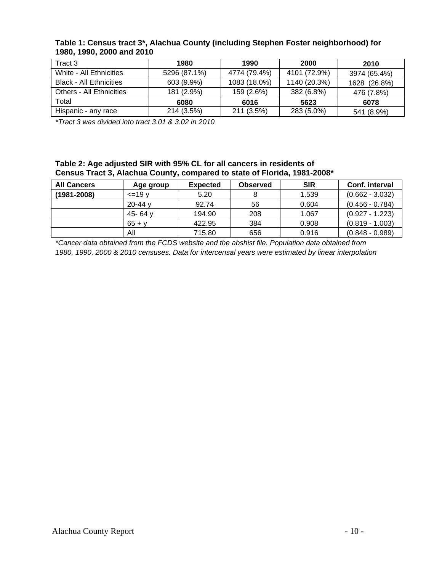| Tract 3                         | 1980         | 1990         | 2000         | 2010         |
|---------------------------------|--------------|--------------|--------------|--------------|
| White - All Ethnicities         | 5296 (87.1%) | 4774 (79.4%) | 4101 (72.9%) | 3974 (65.4%) |
| <b>Black - All Ethnicities</b>  | 603 (9.9%)   | 1083 (18.0%) | 1140 (20.3%) | 1628 (26.8%) |
| <b>Others - All Ethnicities</b> | 181 (2.9%)   | 159 (2.6%)   | 382 (6.8%)   | 476 (7.8%)   |
| Total                           | 6080         | 6016         | 5623         | 6078         |
| Hispanic - any race             | 214 (3.5%)   | 211 (3.5%)   | 283 (5.0%)   | 541 (8.9%)   |

#### **Table 1: Census tract 3\*, Alachua County (including Stephen Foster neighborhood) for 1980, 1990, 2000 and 2010**

*\*Tract 3 was divided into tract 3.01 & 3.02 in 2010* 

#### **Table 2: Age adjusted SIR with 95% CL for all cancers in residents of Census Tract 3, Alachua County, compared to state of Florida, 1981-2008\***

| <b>All Cancers</b> | Age group      | <b>Expected</b> | <b>Observed</b> | <b>SIR</b> | Conf. interval    |
|--------------------|----------------|-----------------|-----------------|------------|-------------------|
| (1981-2008)        | $\leq$ =19 $v$ | 5.20            |                 | 1.539      | $(0.662 - 3.032)$ |
|                    | $20 - 44$ y    | 92.74           | 56              | 0.604      | $(0.456 - 0.784)$ |
|                    | 45- $64v$      | 194.90          | 208             | 1.067      | $(0.927 - 1.223)$ |
|                    | $65 + v$       | 422.95          | 384             | 0.908      | $(0.819 - 1.003)$ |
|                    | All            | 715.80          | 656             | 0.916      | $(0.848 - 0.989)$ |

*\*Cancer data obtained from the FCDS website and the abshist file. Population data obtained from 1980, 1990, 2000 & 2010 censuses. Data for intercensal years were estimated by linear interpolation*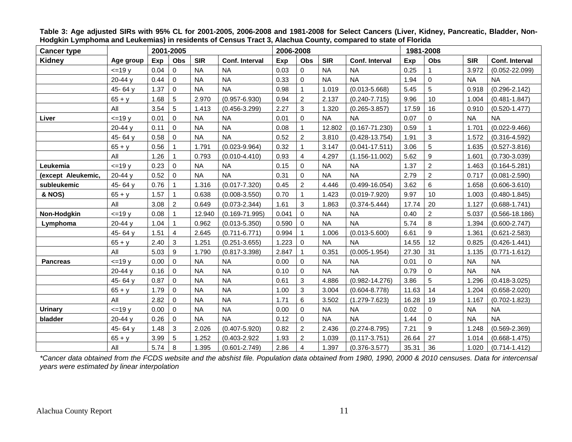| <b>Cancer type</b> |             | 2001-2005 |                         |            |                       |       | 2006-2008      |            |                       | 1981-2008 |                |            |                       |
|--------------------|-------------|-----------|-------------------------|------------|-----------------------|-------|----------------|------------|-----------------------|-----------|----------------|------------|-----------------------|
| Kidney             | Age group   | Exp       | Obs                     | <b>SIR</b> | <b>Conf. Interval</b> | Exp   | Obs            | <b>SIR</b> | <b>Conf. Interval</b> | Exp       | <b>Obs</b>     | <b>SIR</b> | <b>Conf. Interval</b> |
|                    | $=19v$      | 0.04      | $\mathbf 0$             | <b>NA</b>  | <b>NA</b>             | 0.03  | $\mathbf 0$    | <b>NA</b>  | <b>NA</b>             | 0.25      |                | 3.972      | $(0.052 - 22.099)$    |
|                    | 20-44 y     | 0.44      | $\mathbf 0$             | <b>NA</b>  | <b>NA</b>             | 0.33  | $\mathbf 0$    | <b>NA</b>  | <b>NA</b>             | 1.94      | 0              | <b>NA</b>  | <b>NA</b>             |
|                    | 45-64 y     | 1.37      | $\mathbf 0$             | <b>NA</b>  | <b>NA</b>             | 0.98  | $\overline{1}$ | 1.019      | $(0.013 - 5.668)$     | 5.45      | 5              | 0.918      | $(0.296 - 2.142)$     |
|                    | $65 + y$    | 1.68      | $\sqrt{5}$              | 2.970      | $(0.957 - 6.930)$     | 0.94  | $\overline{2}$ | 2.137      | $(0.240 - 7.715)$     | 9.96      | 10             | 1.004      | $(0.481 - 1.847)$     |
|                    | All         | 3.54      | $\overline{5}$          | 1.413      | $(0.456 - 3.299)$     | 2.27  | 3              | 1.320      | $(0.265 - 3.857)$     | 17.59     | 16             | 0.910      | $(0.520 - 1.477)$     |
| Liver              | $=19y$      | 0.01      | $\mathbf 0$             | <b>NA</b>  | <b>NA</b>             | 0.01  | $\Omega$       | <b>NA</b>  | <b>NA</b>             | 0.07      | 0              | <b>NA</b>  | <b>NA</b>             |
|                    | 20-44 y     | 0.11      | $\mathbf 0$             | <b>NA</b>  | <b>NA</b>             | 0.08  | $\overline{1}$ | 12.802     | $(0.167 - 71.230)$    | 0.59      | 1              | 1.701      | $(0.022 - 9.466)$     |
|                    | 45-64 y     | 0.58      | $\mathsf 0$             | <b>NA</b>  | <b>NA</b>             | 0.52  | $\overline{c}$ | 3.810      | $(0.428 - 13.754)$    | 1.91      | 3              | 1.572      | $(0.316 - 4.592)$     |
|                    | $65 + y$    | 0.56      | $\overline{1}$          | 1.791      | $(0.023 - 9.964)$     | 0.32  | $\mathbf{1}$   | 3.147      | $(0.041 - 17.511)$    | 3.06      | 5              | 1.635      | $(0.527 - 3.816)$     |
|                    | All         | 1.26      | $\mathbf{1}$            | 0.793      | $(0.010 - 4.410)$     | 0.93  | $\overline{4}$ | 4.297      | $(1.156 - 11.002)$    | 5.62      | 9              | 1.601      | $(0.730 - 3.039)$     |
| Leukemia           | $=19y$      | 0.23      | $\mathbf 0$             | <b>NA</b>  | <b>NA</b>             | 0.15  | $\mathbf 0$    | <b>NA</b>  | <b>NA</b>             | 1.37      | $\overline{2}$ | 1.463      | $(0.164 - 5.281)$     |
| (except Aleukemic, | 20-44 y     | 0.52      | $\mathbf 0$             | <b>NA</b>  | <b>NA</b>             | 0.31  | $\mathbf 0$    | <b>NA</b>  | <b>NA</b>             | 2.79      | $\overline{c}$ | 0.717      | $(0.081 - 2.590)$     |
| subleukemic        | 45-64 y     | 0.76      | $\mathbf{1}$            | 1.316      | $(0.017 - 7.320)$     | 0.45  | $\overline{2}$ | 4.446      | $(0.499 - 16.054)$    | 3.62      | 6              | 1.658      | $(0.606 - 3.610)$     |
| & NOS)             | $65 + y$    | 1.57      | $\mathbf{1}$            | 0.638      | $(0.008 - 3.550)$     | 0.70  | $\mathbf 1$    | 1.423      | $(0.019 - 7.920)$     | 9.97      | 10             | 1.003      | $(0.480 - 1.845)$     |
|                    | All         | 3.08      | $\overline{2}$          | 0.649      | $(0.073 - 2.344)$     | 1.61  | 3              | 1.863      | $(0.374 - 5.444)$     | 17.74     | 20             | 1.127      | $(0.688 - 1.741)$     |
| Non-Hodgkin        | $=19y$      | 0.08      | $\mathbf{1}$            | 12.940     | $(0.169 - 71.995)$    | 0.041 | $\Omega$       | <b>NA</b>  | <b>NA</b>             | 0.40      | $\overline{2}$ | 5.037      | $(0.566 - 18.186)$    |
| Lymphoma           | $20 - 44$ v | 1.04      | $\overline{1}$          | 0.962      | $(0.013 - 5.350)$     | 0.590 | $\Omega$       | <b>NA</b>  | <b>NA</b>             | 5.74      | 8              | 1.394      | $(0.600 - 2.747)$     |
|                    | 45-64 y     | 1.51      | $\overline{\mathbf{4}}$ | 2.645      | $(0.711 - 6.771)$     | 0.994 | 1              | 1.006      | $(0.013 - 5.600)$     | 6.61      | 9              | 1.361      | $(0.621 - 2.583)$     |
|                    | $65 + y$    | 2.40      | $\mathbf{3}$            | 1.251      | $(0.251 - 3.655)$     | 1.223 | $\mathbf 0$    | <b>NA</b>  | <b>NA</b>             | 14.55     | 12             | 0.825      | $(0.426 - 1.441)$     |
|                    | All         | 5.03      | 9                       | 1.790      | $(0.817 - 3.398)$     | 2.847 | $\mathbf{1}$   | 0.351      | $(0.005 - 1.954)$     | 27.30     | 31             | 1.135      | $(0.771 - 1.612)$     |
| <b>Pancreas</b>    | $=19y$      | 0.00      | $\Omega$                | <b>NA</b>  | <b>NA</b>             | 0.00  | $\mathbf 0$    | <b>NA</b>  | <b>NA</b>             | 0.01      | 0              | <b>NA</b>  | <b>NA</b>             |
|                    | 20-44 y     | 0.16      | $\mathbf 0$             | <b>NA</b>  | <b>NA</b>             | 0.10  | $\Omega$       | <b>NA</b>  | <b>NA</b>             | 0.79      | 0              | <b>NA</b>  | <b>NA</b>             |
|                    | 45-64 y     | 0.87      | $\Omega$                | <b>NA</b>  | <b>NA</b>             | 0.61  | 3              | 4.886      | $(0.982 - 14.276)$    | 3.86      | 5              | 1.296      | $(0.418 - 3.025)$     |
|                    | $65 + y$    | 1.79      | $\mathbf 0$             | <b>NA</b>  | <b>NA</b>             | 1.00  | 3              | 3.004      | $(0.604 - 8.778)$     | 11.63     | 14             | 1.204      | $(0.658 - 2.020)$     |
|                    | All         | 2.82      | $\mathbf 0$             | <b>NA</b>  | <b>NA</b>             | 1.71  | 6              | 3.502      | $(1.279 - 7.623)$     | 16.28     | 19             | 1.167      | $(0.702 - 1.823)$     |
| <b>Urinary</b>     | $=19y$      | 0.00      | $\mathbf 0$             | <b>NA</b>  | <b>NA</b>             | 0.00  | $\mathbf 0$    | <b>NA</b>  | <b>NA</b>             | 0.02      | 0              | <b>NA</b>  | <b>NA</b>             |
| bladder            | 20-44 y     | 0.26      | $\mathbf 0$             | <b>NA</b>  | <b>NA</b>             | 0.12  | $\mathbf 0$    | <b>NA</b>  | <b>NA</b>             | 1.44      | 0              | <b>NA</b>  | <b>NA</b>             |
|                    | 45-64 y     | 1.48      | $\mathbf{3}$            | 2.026      | $(0.407 - 5.920)$     | 0.82  | $\overline{c}$ | 2.436      | $(0.274 - 8.795)$     | 7.21      | 9              | 1.248      | $(0.569 - 2.369)$     |
|                    | $65 + y$    | 3.99      | $\,$ 5 $\,$             | 1.252      | $(0.403 - 2.922)$     | 1.93  | $\overline{c}$ | 1.039      | $(0.117 - 3.751)$     | 26.64     | 27             | 1.014      | $(0.668 - 1.475)$     |
|                    | All         | 5.74      | 8                       | 1.395      | $(0.601 - 2.749)$     | 2.86  | $\overline{4}$ | 1.397      | $(0.376 - 3.577)$     | 35.31     | 36             | 1.020      | $(0.714 - 1.412)$     |

**Table 3: Age adjusted SIRs with 95% CL for 2001-2005, 2006-2008 and 1981-2008 for Select Cancers (Liver, Kidney, Pancreatic, Bladder, Non-Hodgkin Lymphoma and Leukemias) in residents of Census Tract 3, Alachua County, compared to state of Florida** 

*\*Cancer data obtained from the FCDS website and the abshist file. Population data obtained from 1980, 1990, 2000 & 2010 censuses. Data for intercensal years were estimated by linear interpolation*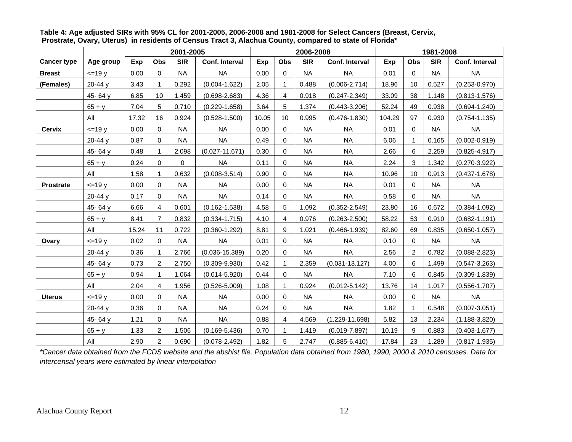|                    |           | 2001-2005 |                |            |                    |       |             | 2006-2008  |                    | 1981-2008 |             |            |                   |
|--------------------|-----------|-----------|----------------|------------|--------------------|-------|-------------|------------|--------------------|-----------|-------------|------------|-------------------|
| <b>Cancer type</b> | Age group | Exp       | Obs            | <b>SIR</b> | Conf. Interval     | Exp   | Obs         | <b>SIR</b> | Conf. Interval     | Exp       | Obs         | <b>SIR</b> | Conf. Interval    |
| <b>Breast</b>      | $=19y$    | 0.00      | $\mathbf 0$    | <b>NA</b>  | <b>NA</b>          | 0.00  | $\mathbf 0$ | <b>NA</b>  | <b>NA</b>          | 0.01      | $\mathbf 0$ | <b>NA</b>  | <b>NA</b>         |
| (Females)          | 20-44 y   | 3.43      | 1              | 0.292      | $(0.004 - 1.622)$  | 2.05  |             | 0.488      | $(0.006 - 2.714)$  | 18.96     | 10          | 0.527      | $(0.253 - 0.970)$ |
|                    | 45-64 y   | 6.85      | 10             | 1.459      | $(0.698 - 2.683)$  | 4.36  | 4           | 0.918      | $(0.247 - 2.349)$  | 33.09     | 38          | 1.148      | $(0.813 - 1.576)$ |
|                    | $65 + y$  | 7.04      | 5              | 0.710      | $(0.229 - 1.658)$  | 3.64  | 5           | 1.374      | $(0.443 - 3.206)$  | 52.24     | 49          | 0.938      | $(0.694 - 1.240)$ |
|                    | All       | 17.32     | 16             | 0.924      | $(0.528 - 1.500)$  | 10.05 | 10          | 0.995      | $(0.476 - 1.830)$  | 104.29    | 97          | 0.930      | $(0.754 - 1.135)$ |
| <b>Cervix</b>      | $=19y$    | 0.00      | $\mathbf 0$    | <b>NA</b>  | <b>NA</b>          | 0.00  | $\mathbf 0$ | <b>NA</b>  | <b>NA</b>          | 0.01      | $\mathbf 0$ | <b>NA</b>  | <b>NA</b>         |
|                    | 20-44 y   | 0.87      | 0              | <b>NA</b>  | <b>NA</b>          | 0.49  | 0           | <b>NA</b>  | <b>NA</b>          | 6.06      | $\mathbf 1$ | 0.165      | $(0.002 - 0.919)$ |
|                    | 45-64 $y$ | 0.48      |                | 2.098      | $(0.027 - 11.671)$ | 0.30  | 0           | <b>NA</b>  | <b>NA</b>          | 2.66      | 6           | 2.259      | $(0.825 - 4.917)$ |
|                    | $65 + y$  | 0.24      | $\Omega$       | 0          | <b>NA</b>          | 0.11  | $\Omega$    | <b>NA</b>  | <b>NA</b>          | 2.24      | 3           | 1.342      | $(0.270 - 3.922)$ |
|                    | All       | 1.58      | 1              | 0.632      | $(0.008 - 3.514)$  | 0.90  | $\mathbf 0$ | <b>NA</b>  | <b>NA</b>          | 10.96     | 10          | 0.913      | $(0.437 - 1.678)$ |
| <b>Prostrate</b>   | $=19y$    | 0.00      | 0              | <b>NA</b>  | <b>NA</b>          | 0.00  | $\mathbf 0$ | <b>NA</b>  | <b>NA</b>          | 0.01      | $\mathbf 0$ | <b>NA</b>  | <b>NA</b>         |
|                    | $20-44y$  | 0.17      | 0              | <b>NA</b>  | <b>NA</b>          | 0.14  | 0           | NA         | <b>NA</b>          | 0.58      | 0           | <b>NA</b>  | NA                |
|                    | 45-64 y   | 6.66      | 4              | 0.601      | $(0.162 - 1.538)$  | 4.58  | 5           | 1.092      | $(0.352 - 2.549)$  | 23.80     | 16          | 0.672      | $(0.384 - 1.092)$ |
|                    | $65 + y$  | 8.41      | 7              | 0.832      | $(0.334 - 1.715)$  | 4.10  | 4           | 0.976      | $(0.263 - 2.500)$  | 58.22     | 53          | 0.910      | $(0.682 - 1.191)$ |
|                    | All       | 15.24     | 11             | 0.722      | $(0.360 - 1.292)$  | 8.81  | 9           | 1.021      | $(0.466 - 1.939)$  | 82.60     | 69          | 0.835      | $(0.650 - 1.057)$ |
| Ovary              | $=19y$    | 0.02      | $\mathbf 0$    | <b>NA</b>  | <b>NA</b>          | 0.01  | $\mathbf 0$ | <b>NA</b>  | <b>NA</b>          | 0.10      | $\mathbf 0$ | <b>NA</b>  | <b>NA</b>         |
|                    | $20-44y$  | 0.36      | 1              | 2.766      | $(0.036 - 15.389)$ | 0.20  | 0           | NA         | NA.                | 2.56      | 2           | 0.782      | $(0.088 - 2.823)$ |
|                    | 45-64 y   | 0.73      | 2              | 2.750      | $(0.309 - 9.930)$  | 0.42  |             | 2.359      | $(0.031 - 13.127)$ | 4.00      | 6           | 1.499      | $(0.547 - 3.263)$ |
|                    | $65 + y$  | 0.94      | 1              | 1.064      | $(0.014 - 5.920)$  | 0.44  | $\Omega$    | <b>NA</b>  | <b>NA</b>          | 7.10      | 6           | 0.845      | $(0.309 - 1.839)$ |
|                    | All       | 2.04      | 4              | 1.956      | $(0.526 - 5.009)$  | 1.08  |             | 0.924      | $(0.012 - 5.142)$  | 13.76     | 14          | 1.017      | $(0.556 - 1.707)$ |
| <b>Uterus</b>      | $=19y$    | 0.00      | $\mathbf 0$    | <b>NA</b>  | <b>NA</b>          | 0.00  | $\mathbf 0$ | <b>NA</b>  | <b>NA</b>          | 0.00      | $\mathbf 0$ | <b>NA</b>  | <b>NA</b>         |
|                    | $20-44y$  | 0.36      | $\Omega$       | <b>NA</b>  | <b>NA</b>          | 0.24  | $\Omega$    | NA         | <b>NA</b>          | 1.82      | $\mathbf 1$ | 0.548      | $(0.007 - 3.051)$ |
|                    | 45-64 y   | 1.21      | 0              | <b>NA</b>  | <b>NA</b>          | 0.88  | 4           | 4.569      | $(1.229 - 11.698)$ | 5.82      | 13          | 2.234      | $(1.188 - 3.820)$ |
|                    | $65 + y$  | 1.33      | 2              | 1.506      | $(0.169 - 5.436)$  | 0.70  |             | 1.419      | $(0.019 - 7.897)$  | 10.19     | 9           | 0.883      | $(0.403 - 1.677)$ |
|                    | All       | 2.90      | $\overline{2}$ | 0.690      | $(0.078 - 2.492)$  | 1.82  | 5           | 2.747      | $(0.885 - 6.410)$  | 17.84     | 23          | 1.289      | $(0.817 - 1.935)$ |

**Table 4: Age adjusted SIRs with 95% CL for 2001-2005, 2006-2008 and 1981-2008 for Select Cancers (Breast, Cervix, Prostrate, Ovary, Uterus) in residents of Census Tract 3, Alachua County, compared to state of Florida\*** 

*\*Cancer data obtained from the FCDS website and the abshist file. Population data obtained from 1980, 1990, 2000 & 2010 censuses. Data for intercensal years were estimated by linear interpolation*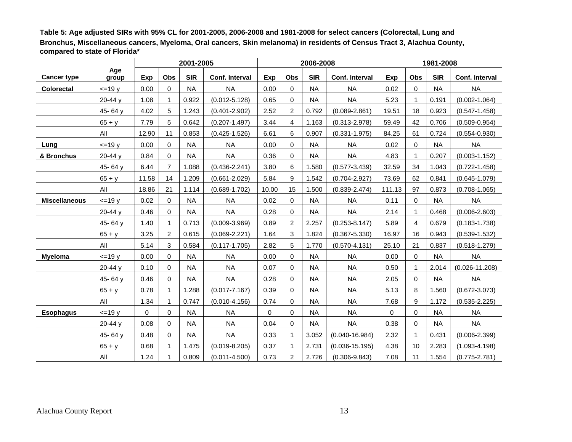**Table 5: Age adjusted SIRs with 95% CL for 2001-2005, 2006-2008 and 1981-2008 for select cancers (Colorectal, Lung and Bronchus, Miscellaneous cancers, Myeloma, Oral cancers, Skin melanoma) in residents of Census Tract 3, Alachua County, compared to state of Florida\*** 

|                      |                |          |                | 2001-2005  |                   |       |                | 2006-2008  |                    |        | 1981-2008 |            |                    |
|----------------------|----------------|----------|----------------|------------|-------------------|-------|----------------|------------|--------------------|--------|-----------|------------|--------------------|
| <b>Cancer type</b>   | Age<br>group   | Exp      | Obs            | <b>SIR</b> | Conf. Interval    | Exp   | Obs            | <b>SIR</b> | Conf. Interval     | Exp    | Obs       | <b>SIR</b> | Conf. Interval     |
| <b>Colorectal</b>    | $=19y$         | 0.00     | $\Omega$       | <b>NA</b>  | <b>NA</b>         | 0.00  | 0              | <b>NA</b>  | <b>NA</b>          | 0.02   | $\Omega$  | <b>NA</b>  | <b>NA</b>          |
|                      | $20 - 44$ y    | 1.08     | 1              | 0.922      | $(0.012 - 5.128)$ | 0.65  | $\Omega$       | <b>NA</b>  | <b>NA</b>          | 5.23   |           | 0.191      | $(0.002 - 1.064)$  |
|                      | 45-64 y        | 4.02     | 5              | 1.243      | $(0.401 - 2.902)$ | 2.52  | 2              | 0.792      | $(0.089 - 2.861)$  | 19.51  | 18        | 0.923      | $(0.547 - 1.458)$  |
|                      | $65 + y$       | 7.79     | 5              | 0.642      | $(0.207 - 1.497)$ | 3.44  | 4              | 1.163      | $(0.313 - 2.978)$  | 59.49  | 42        | 0.706      | $(0.509 - 0.954)$  |
|                      | All            | 12.90    | 11             | 0.853      | $(0.425 - 1.526)$ | 6.61  | 6              | 0.907      | $(0.331 - 1.975)$  | 84.25  | 61        | 0.724      | $(0.554 - 0.930)$  |
| Lung                 | $=19y$         | 0.00     | 0              | <b>NA</b>  | <b>NA</b>         | 0.00  | $\Omega$       | <b>NA</b>  | <b>NA</b>          | 0.02   | $\Omega$  | <b>NA</b>  | <b>NA</b>          |
| & Bronchus           | 20-44 y        | 0.84     | $\mathbf 0$    | <b>NA</b>  | <b>NA</b>         | 0.36  | $\Omega$       | <b>NA</b>  | <b>NA</b>          | 4.83   |           | 0.207      | $(0.003 - 1.152)$  |
|                      | 45-64 y        | 6.44     | $\overline{7}$ | 1.088      | $(0.436 - 2.241)$ | 3.80  | 6              | 1.580      | $(0.577 - 3.439)$  | 32.59  | 34        | 1.043      | $(0.722 - 1.458)$  |
|                      | $65 + y$       | 11.58    | 14             | 1.209      | $(0.661 - 2.029)$ | 5.84  | 9              | 1.542      | $(0.704 - 2.927)$  | 73.69  | 62        | 0.841      | $(0.645 - 1.079)$  |
|                      | All            | 18.86    | 21             | 1.114      | $(0.689 - 1.702)$ | 10.00 | 15             | 1.500      | $(0.839 - 2.474)$  | 111.13 | 97        | 0.873      | $(0.708 - 1.065)$  |
| <b>Miscellaneous</b> | $=19y$         | 0.02     | 0              | <b>NA</b>  | <b>NA</b>         | 0.02  | $\mathbf 0$    | <b>NA</b>  | <b>NA</b>          | 0.11   | 0         | <b>NA</b>  | <b>NA</b>          |
|                      | 20-44 y        | 0.46     | $\Omega$       | <b>NA</b>  | <b>NA</b>         | 0.28  | 0              | <b>NA</b>  | <b>NA</b>          | 2.14   |           | 0.468      | $(0.006 - 2.603)$  |
|                      | 45-64 y        | 1.40     | 1              | 0.713      | $(0.009 - 3.969)$ | 0.89  | 2              | 2.257      | $(0.253 - 8.147)$  | 5.89   | 4         | 0.679      | $(0.183 - 1.738)$  |
|                      | $65 + y$       | 3.25     | 2              | 0.615      | $(0.069 - 2.221)$ | 1.64  | 3              | 1.824      | $(0.367 - 5.330)$  | 16.97  | 16        | 0.943      | $(0.539 - 1.532)$  |
|                      | All            | 5.14     | 3              | 0.584      | $(0.117 - 1.705)$ | 2.82  | 5              | 1.770      | $(0.570 - 4.131)$  | 25.10  | 21        | 0.837      | $(0.518 - 1.279)$  |
| <b>Myeloma</b>       | $\leq$ =19 $y$ | 0.00     | $\Omega$       | <b>NA</b>  | <b>NA</b>         | 0.00  | $\Omega$       | <b>NA</b>  | <b>NA</b>          | 0.00   | $\Omega$  | <b>NA</b>  | <b>NA</b>          |
|                      | 20-44 y        | 0.10     | $\Omega$       | <b>NA</b>  | <b>NA</b>         | 0.07  | 0              | <b>NA</b>  | <b>NA</b>          | 0.50   |           | 2.014      | $(0.026 - 11.208)$ |
|                      | 45-64 y        | 0.46     | $\Omega$       | <b>NA</b>  | <b>NA</b>         | 0.28  | 0              | <b>NA</b>  | <b>NA</b>          | 2.05   | $\Omega$  | <b>NA</b>  | <b>NA</b>          |
|                      | $65 + y$       | 0.78     | 1              | 1.288      | $(0.017 - 7.167)$ | 0.39  | 0              | <b>NA</b>  | <b>NA</b>          | 5.13   | 8         | 1.560      | $(0.672 - 3.073)$  |
|                      | All            | 1.34     | 1              | 0.747      | $(0.010 - 4.156)$ | 0.74  | $\Omega$       | <b>NA</b>  | <b>NA</b>          | 7.68   | 9         | 1.172      | $(0.535 - 2.225)$  |
| <b>Esophagus</b>     | $=19y$         | $\Omega$ | 0              | <b>NA</b>  | <b>NA</b>         | 0     | 0              | <b>NA</b>  | <b>NA</b>          | 0      | 0         | <b>NA</b>  | <b>NA</b>          |
|                      | 20-44 y        | 0.08     | 0              | <b>NA</b>  | <b>NA</b>         | 0.04  | 0              | <b>NA</b>  | <b>NA</b>          | 0.38   | $\Omega$  | <b>NA</b>  | <b>NA</b>          |
|                      | 45-64 y        | 0.48     | $\Omega$       | <b>NA</b>  | <b>NA</b>         | 0.33  | $\mathbf{1}$   | 3.052      | $(0.040 - 16.984)$ | 2.32   |           | 0.431      | $(0.006 - 2.399)$  |
|                      | $65 + y$       | 0.68     | 1              | 1.475      | $(0.019 - 8.205)$ | 0.37  | 1              | 2.731      | $(0.036 - 15.195)$ | 4.38   | 10        | 2.283      | $(1.093 - 4.198)$  |
|                      | All            | 1.24     | 1              | 0.809      | $(0.011 - 4.500)$ | 0.73  | $\overline{2}$ | 2.726      | $(0.306 - 9.843)$  | 7.08   | 11        | 1.554      | $(0.775 - 2.781)$  |